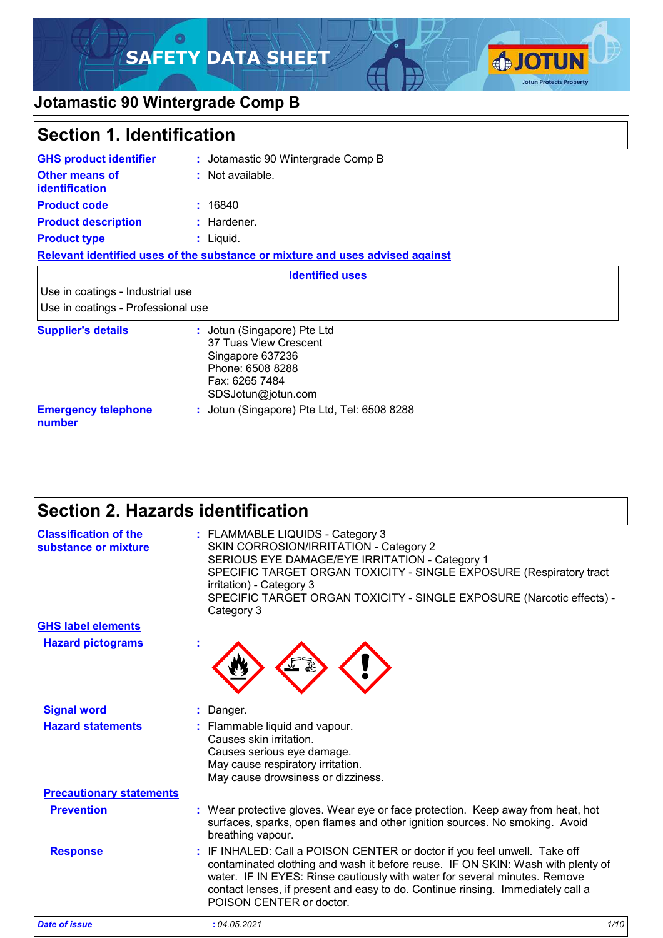### $\circ$ **SAFETY DATA SHEET**



### **Jotamastic 90 Wintergrade Comp B**

| <b>Section 1. Identification</b>                                       |                                                                                                                                      |  |
|------------------------------------------------------------------------|--------------------------------------------------------------------------------------------------------------------------------------|--|
| <b>GHS product identifier</b>                                          | : Jotamastic 90 Wintergrade Comp B                                                                                                   |  |
| <b>Other means of</b><br>identification                                | : Not available.                                                                                                                     |  |
| <b>Product code</b>                                                    | : 16840                                                                                                                              |  |
| <b>Product description</b>                                             | : Hardener.                                                                                                                          |  |
| <b>Product type</b>                                                    | : Liquid.                                                                                                                            |  |
|                                                                        | Relevant identified uses of the substance or mixture and uses advised against                                                        |  |
|                                                                        | <b>Identified uses</b>                                                                                                               |  |
| Use in coatings - Industrial use<br>Use in coatings - Professional use |                                                                                                                                      |  |
| <b>Supplier's details</b>                                              | : Jotun (Singapore) Pte Ltd<br>37 Tuas View Crescent<br>Singapore 637236<br>Phone: 6508 8288<br>Fax: 6265 7484<br>SDSJotun@jotun.com |  |
| <b>Emergency telephone</b><br>number                                   | : Jotun (Singapore) Pte Ltd, Tel: 6508 8288                                                                                          |  |

# **Section 2. Hazards identification**

| <b>Classification of the</b><br>substance or mixture | : FLAMMABLE LIQUIDS - Category 3<br>SKIN CORROSION/IRRITATION - Category 2<br>SERIOUS EYE DAMAGE/EYE IRRITATION - Category 1<br>SPECIFIC TARGET ORGAN TOXICITY - SINGLE EXPOSURE (Respiratory tract<br>irritation) - Category 3<br>SPECIFIC TARGET ORGAN TOXICITY - SINGLE EXPOSURE (Narcotic effects) -<br>Category 3                                    |
|------------------------------------------------------|-----------------------------------------------------------------------------------------------------------------------------------------------------------------------------------------------------------------------------------------------------------------------------------------------------------------------------------------------------------|
| <b>GHS label elements</b>                            |                                                                                                                                                                                                                                                                                                                                                           |
| <b>Hazard pictograms</b>                             |                                                                                                                                                                                                                                                                                                                                                           |
| <b>Signal word</b>                                   | Danger.                                                                                                                                                                                                                                                                                                                                                   |
| <b>Hazard statements</b>                             | : Flammable liquid and vapour.<br>Causes skin irritation.<br>Causes serious eye damage.<br>May cause respiratory irritation.<br>May cause drowsiness or dizziness.                                                                                                                                                                                        |
| <b>Precautionary statements</b>                      |                                                                                                                                                                                                                                                                                                                                                           |
| <b>Prevention</b>                                    | : Wear protective gloves. Wear eye or face protection. Keep away from heat, hot<br>surfaces, sparks, open flames and other ignition sources. No smoking. Avoid<br>breathing vapour.                                                                                                                                                                       |
| <b>Response</b>                                      | : IF INHALED: Call a POISON CENTER or doctor if you feel unwell. Take off<br>contaminated clothing and wash it before reuse. IF ON SKIN: Wash with plenty of<br>water. IF IN EYES: Rinse cautiously with water for several minutes. Remove<br>contact lenses, if present and easy to do. Continue rinsing. Immediately call a<br>POISON CENTER or doctor. |
| <b>Date of issue</b>                                 | 1/10<br>: 04.05.2021                                                                                                                                                                                                                                                                                                                                      |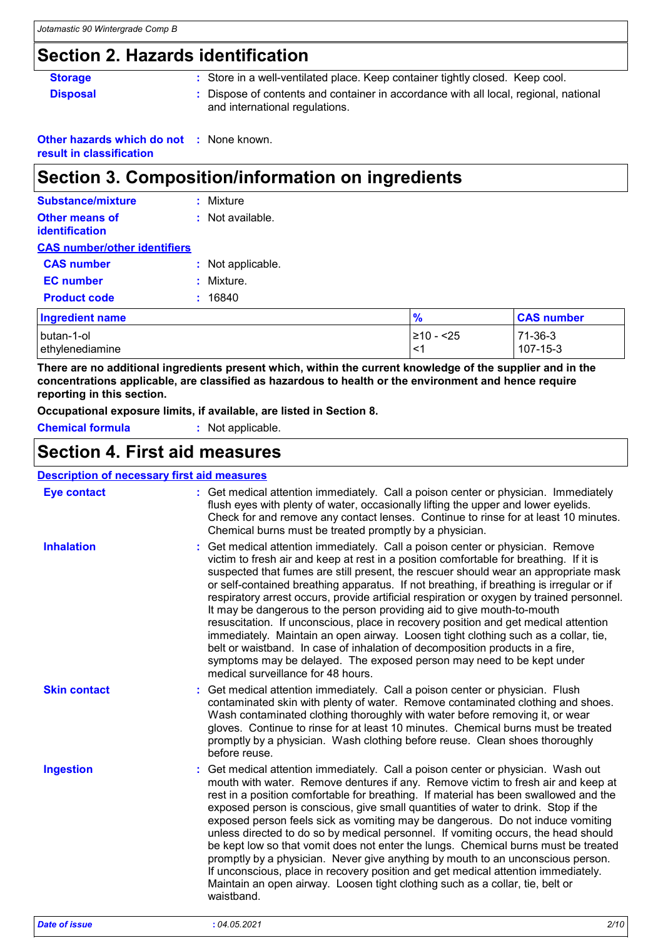# **Section 2. Hazards identification**

| <b>Storage</b>  | : Store in a well-ventilated place. Keep container tightly closed. Keep cool.                                        |
|-----------------|----------------------------------------------------------------------------------------------------------------------|
| <b>Disposal</b> | Dispose of contents and container in accordance with all local, regional, national<br>and international regulations. |

**Other hazards which do not :** None known.

**result in classification**

# **Section 3. Composition/information on ingredients**

| <b>Substance/mixture</b>            | : Mixture         |
|-------------------------------------|-------------------|
| Other means of<br>identification    | : Not available.  |
| <b>CAS number/other identifiers</b> |                   |
| <b>CAS number</b>                   | : Not applicable. |
| <b>EC</b> number                    | : Mixture         |
| <b>Product code</b>                 | : 16840           |

| <b>Ingredient name</b> | $\frac{1}{2}$ | <b>CAS number</b> |
|------------------------|---------------|-------------------|
| butan-1-ol             | ≥10 - <25     | $71-36-3$         |
| ethylenediamine        | <1            | $107 - 15 - 3$    |

**There are no additional ingredients present which, within the current knowledge of the supplier and in the concentrations applicable, are classified as hazardous to health or the environment and hence require reporting in this section.**

**Occupational exposure limits, if available, are listed in Section 8.**

**Chemical formula :** Not applicable.

### **Section 4. First aid measures**

| <b>Description of necessary first aid measures</b> |                                                                                                                                                                                                                                                                                                                                                                                                                                                                                                                                                                                                                                                                                                                                                                                                                                                                                                               |
|----------------------------------------------------|---------------------------------------------------------------------------------------------------------------------------------------------------------------------------------------------------------------------------------------------------------------------------------------------------------------------------------------------------------------------------------------------------------------------------------------------------------------------------------------------------------------------------------------------------------------------------------------------------------------------------------------------------------------------------------------------------------------------------------------------------------------------------------------------------------------------------------------------------------------------------------------------------------------|
| <b>Eye contact</b>                                 | : Get medical attention immediately. Call a poison center or physician. Immediately<br>flush eyes with plenty of water, occasionally lifting the upper and lower eyelids.<br>Check for and remove any contact lenses. Continue to rinse for at least 10 minutes.<br>Chemical burns must be treated promptly by a physician.                                                                                                                                                                                                                                                                                                                                                                                                                                                                                                                                                                                   |
| <b>Inhalation</b>                                  | Get medical attention immediately. Call a poison center or physician. Remove<br>victim to fresh air and keep at rest in a position comfortable for breathing. If it is<br>suspected that fumes are still present, the rescuer should wear an appropriate mask<br>or self-contained breathing apparatus. If not breathing, if breathing is irregular or if<br>respiratory arrest occurs, provide artificial respiration or oxygen by trained personnel.<br>It may be dangerous to the person providing aid to give mouth-to-mouth<br>resuscitation. If unconscious, place in recovery position and get medical attention<br>immediately. Maintain an open airway. Loosen tight clothing such as a collar, tie,<br>belt or waistband. In case of inhalation of decomposition products in a fire,<br>symptoms may be delayed. The exposed person may need to be kept under<br>medical surveillance for 48 hours. |
| <b>Skin contact</b>                                | Get medical attention immediately. Call a poison center or physician. Flush<br>contaminated skin with plenty of water. Remove contaminated clothing and shoes.<br>Wash contaminated clothing thoroughly with water before removing it, or wear<br>gloves. Continue to rinse for at least 10 minutes. Chemical burns must be treated<br>promptly by a physician. Wash clothing before reuse. Clean shoes thoroughly<br>before reuse.                                                                                                                                                                                                                                                                                                                                                                                                                                                                           |
| <b>Ingestion</b>                                   | : Get medical attention immediately. Call a poison center or physician. Wash out<br>mouth with water. Remove dentures if any. Remove victim to fresh air and keep at<br>rest in a position comfortable for breathing. If material has been swallowed and the<br>exposed person is conscious, give small quantities of water to drink. Stop if the<br>exposed person feels sick as vomiting may be dangerous. Do not induce vomiting<br>unless directed to do so by medical personnel. If vomiting occurs, the head should<br>be kept low so that vomit does not enter the lungs. Chemical burns must be treated<br>promptly by a physician. Never give anything by mouth to an unconscious person.<br>If unconscious, place in recovery position and get medical attention immediately.<br>Maintain an open airway. Loosen tight clothing such as a collar, tie, belt or<br>waistband.                        |

*Date of issue* **:** *04.05.2021 2/10*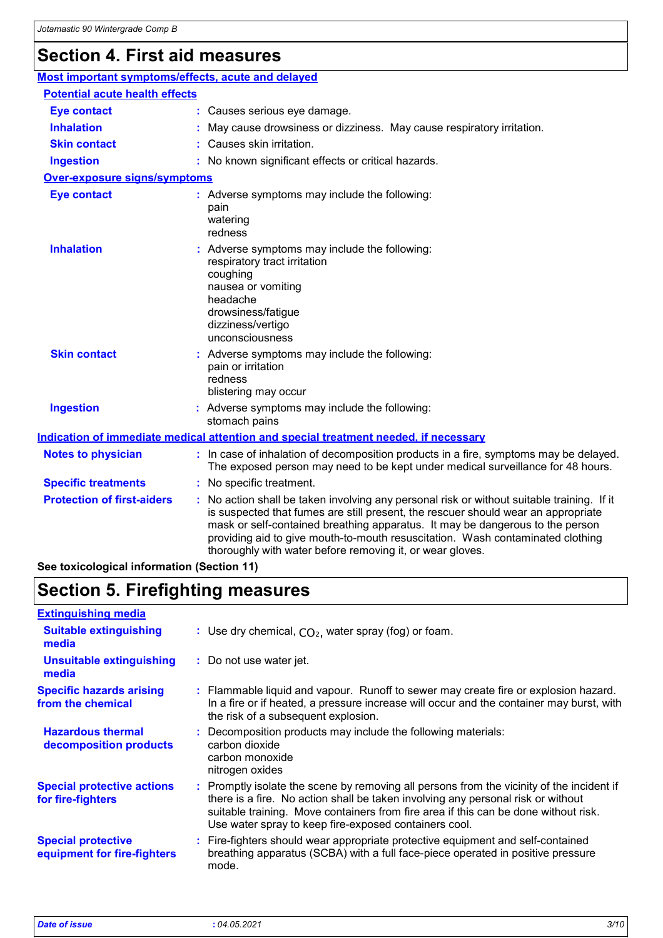### **Section 4. First aid measures**

| Most important symptoms/effects, acute and delayed                              |                                                                                                                                                                                                                                                                                                                                                                                                                 |
|---------------------------------------------------------------------------------|-----------------------------------------------------------------------------------------------------------------------------------------------------------------------------------------------------------------------------------------------------------------------------------------------------------------------------------------------------------------------------------------------------------------|
| <b>Potential acute health effects</b>                                           |                                                                                                                                                                                                                                                                                                                                                                                                                 |
| <b>Eye contact</b>                                                              | : Causes serious eye damage.                                                                                                                                                                                                                                                                                                                                                                                    |
| <b>Inhalation</b>                                                               | May cause drowsiness or dizziness. May cause respiratory irritation.                                                                                                                                                                                                                                                                                                                                            |
| <b>Skin contact</b>                                                             | : Causes skin irritation.                                                                                                                                                                                                                                                                                                                                                                                       |
| <b>Ingestion</b>                                                                | : No known significant effects or critical hazards.                                                                                                                                                                                                                                                                                                                                                             |
| <b>Over-exposure signs/symptoms</b>                                             |                                                                                                                                                                                                                                                                                                                                                                                                                 |
| <b>Eye contact</b>                                                              | : Adverse symptoms may include the following:<br>pain<br>watering<br>redness                                                                                                                                                                                                                                                                                                                                    |
| <b>Inhalation</b>                                                               | : Adverse symptoms may include the following:<br>respiratory tract irritation<br>coughing<br>nausea or vomiting<br>headache<br>drowsiness/fatigue<br>dizziness/vertigo<br>unconsciousness                                                                                                                                                                                                                       |
| <b>Skin contact</b>                                                             | : Adverse symptoms may include the following:<br>pain or irritation<br>redness<br>blistering may occur                                                                                                                                                                                                                                                                                                          |
| <b>Ingestion</b>                                                                | : Adverse symptoms may include the following:<br>stomach pains                                                                                                                                                                                                                                                                                                                                                  |
|                                                                                 | Indication of immediate medical attention and special treatment needed, if necessary                                                                                                                                                                                                                                                                                                                            |
| <b>Notes to physician</b>                                                       | : In case of inhalation of decomposition products in a fire, symptoms may be delayed.<br>The exposed person may need to be kept under medical surveillance for 48 hours.                                                                                                                                                                                                                                        |
| <b>Specific treatments</b>                                                      | : No specific treatment.                                                                                                                                                                                                                                                                                                                                                                                        |
| <b>Protection of first-aiders</b><br>See toxicological information (Section 11) | : No action shall be taken involving any personal risk or without suitable training. If it<br>is suspected that fumes are still present, the rescuer should wear an appropriate<br>mask or self-contained breathing apparatus. It may be dangerous to the person<br>providing aid to give mouth-to-mouth resuscitation. Wash contaminated clothing<br>thoroughly with water before removing it, or wear gloves. |

**See toxicological information (Section 11)**

### **Section 5. Firefighting measures**

#### Promptly isolate the scene by removing all persons from the vicinity of the incident if **:** there is a fire. No action shall be taken involving any personal risk or without suitable training. Move containers from fire area if this can be done without risk. Use water spray to keep fire-exposed containers cool. **Hazardous thermal decomposition products Specific hazards arising from the chemical** Decomposition products may include the following materials: **:** carbon dioxide carbon monoxide nitrogen oxides Flammable liquid and vapour. Runoff to sewer may create fire or explosion hazard. **:** In a fire or if heated, a pressure increase will occur and the container may burst, with the risk of a subsequent explosion. Fire-fighters should wear appropriate protective equipment and self-contained **:** breathing apparatus (SCBA) with a full face-piece operated in positive pressure mode. **Special protective equipment for fire-fighters** Use dry chemical, CO₂, water spray (fog) or foam. **: Extinguishing media :** Do not use water jet. **Suitable extinguishing media Unsuitable extinguishing media Special protective actions for fire-fighters** *Date of issue* **:** *04.05.2021 3/10*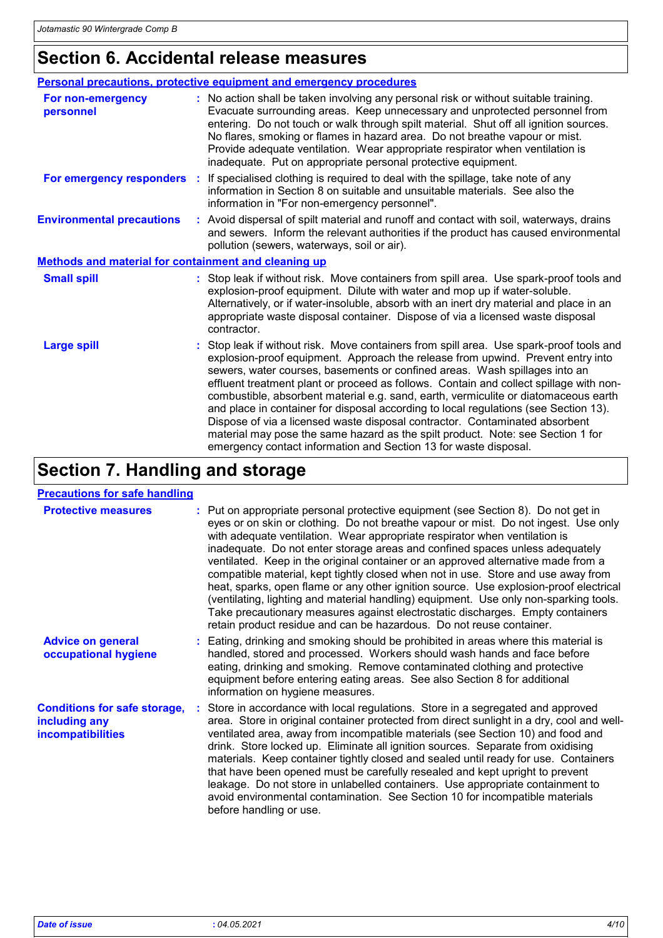### **Section 6. Accidental release measures**

|                                                             | Personal precautions, protective equipment and emergency procedures                                                                                                                                                                                                                                                                                                                                                                                                                                                                                                                                                                                                                                                                                                     |
|-------------------------------------------------------------|-------------------------------------------------------------------------------------------------------------------------------------------------------------------------------------------------------------------------------------------------------------------------------------------------------------------------------------------------------------------------------------------------------------------------------------------------------------------------------------------------------------------------------------------------------------------------------------------------------------------------------------------------------------------------------------------------------------------------------------------------------------------------|
| <b>For non-emergency</b><br>personnel                       | : No action shall be taken involving any personal risk or without suitable training.<br>Evacuate surrounding areas. Keep unnecessary and unprotected personnel from<br>entering. Do not touch or walk through spilt material. Shut off all ignition sources.<br>No flares, smoking or flames in hazard area. Do not breathe vapour or mist.<br>Provide adequate ventilation. Wear appropriate respirator when ventilation is<br>inadequate. Put on appropriate personal protective equipment.                                                                                                                                                                                                                                                                           |
| For emergency responders :                                  | If specialised clothing is required to deal with the spillage, take note of any<br>information in Section 8 on suitable and unsuitable materials. See also the<br>information in "For non-emergency personnel".                                                                                                                                                                                                                                                                                                                                                                                                                                                                                                                                                         |
| <b>Environmental precautions</b>                            | : Avoid dispersal of spilt material and runoff and contact with soil, waterways, drains<br>and sewers. Inform the relevant authorities if the product has caused environmental<br>pollution (sewers, waterways, soil or air).                                                                                                                                                                                                                                                                                                                                                                                                                                                                                                                                           |
| <b>Methods and material for containment and cleaning up</b> |                                                                                                                                                                                                                                                                                                                                                                                                                                                                                                                                                                                                                                                                                                                                                                         |
| <b>Small spill</b>                                          | : Stop leak if without risk. Move containers from spill area. Use spark-proof tools and<br>explosion-proof equipment. Dilute with water and mop up if water-soluble.<br>Alternatively, or if water-insoluble, absorb with an inert dry material and place in an<br>appropriate waste disposal container. Dispose of via a licensed waste disposal<br>contractor.                                                                                                                                                                                                                                                                                                                                                                                                        |
| <b>Large spill</b>                                          | : Stop leak if without risk. Move containers from spill area. Use spark-proof tools and<br>explosion-proof equipment. Approach the release from upwind. Prevent entry into<br>sewers, water courses, basements or confined areas. Wash spillages into an<br>effluent treatment plant or proceed as follows. Contain and collect spillage with non-<br>combustible, absorbent material e.g. sand, earth, vermiculite or diatomaceous earth<br>and place in container for disposal according to local regulations (see Section 13).<br>Dispose of via a licensed waste disposal contractor. Contaminated absorbent<br>material may pose the same hazard as the spilt product. Note: see Section 1 for<br>emergency contact information and Section 13 for waste disposal. |

# **Section 7. Handling and storage**

#### **Precautions for safe handling**

| <b>Protective measures</b>                                                       | : Put on appropriate personal protective equipment (see Section 8). Do not get in<br>eyes or on skin or clothing. Do not breathe vapour or mist. Do not ingest. Use only<br>with adequate ventilation. Wear appropriate respirator when ventilation is<br>inadequate. Do not enter storage areas and confined spaces unless adequately<br>ventilated. Keep in the original container or an approved alternative made from a<br>compatible material, kept tightly closed when not in use. Store and use away from<br>heat, sparks, open flame or any other ignition source. Use explosion-proof electrical<br>(ventilating, lighting and material handling) equipment. Use only non-sparking tools.<br>Take precautionary measures against electrostatic discharges. Empty containers<br>retain product residue and can be hazardous. Do not reuse container. |
|----------------------------------------------------------------------------------|--------------------------------------------------------------------------------------------------------------------------------------------------------------------------------------------------------------------------------------------------------------------------------------------------------------------------------------------------------------------------------------------------------------------------------------------------------------------------------------------------------------------------------------------------------------------------------------------------------------------------------------------------------------------------------------------------------------------------------------------------------------------------------------------------------------------------------------------------------------|
| <b>Advice on general</b><br>occupational hygiene                                 | : Eating, drinking and smoking should be prohibited in areas where this material is<br>handled, stored and processed. Workers should wash hands and face before<br>eating, drinking and smoking. Remove contaminated clothing and protective<br>equipment before entering eating areas. See also Section 8 for additional<br>information on hygiene measures.                                                                                                                                                                                                                                                                                                                                                                                                                                                                                                |
| <b>Conditions for safe storage,</b><br>including any<br><b>incompatibilities</b> | : Store in accordance with local regulations. Store in a segregated and approved<br>area. Store in original container protected from direct sunlight in a dry, cool and well-<br>ventilated area, away from incompatible materials (see Section 10) and food and<br>drink. Store locked up. Eliminate all ignition sources. Separate from oxidising<br>materials. Keep container tightly closed and sealed until ready for use. Containers<br>that have been opened must be carefully resealed and kept upright to prevent<br>leakage. Do not store in unlabelled containers. Use appropriate containment to<br>avoid environmental contamination. See Section 10 for incompatible materials<br>before handling or use.                                                                                                                                      |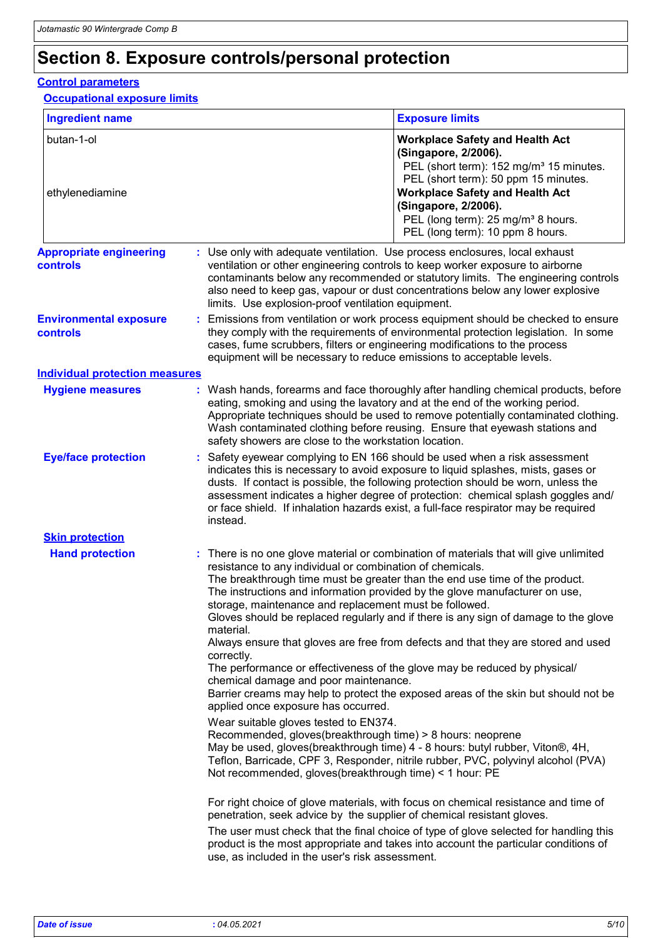# **Section 8. Exposure controls/personal protection**

### **Control parameters**

**Occupational exposure limits**

| <b>Ingredient name</b>                            |                                                                                                                                                                                                                                                                                                                                                                                                  | <b>Exposure limits</b>                                                                                                                                                                                                                                                                                                                                                                                                                                                                                                                                                                                                                                                                                                                                                   |  |  |
|---------------------------------------------------|--------------------------------------------------------------------------------------------------------------------------------------------------------------------------------------------------------------------------------------------------------------------------------------------------------------------------------------------------------------------------------------------------|--------------------------------------------------------------------------------------------------------------------------------------------------------------------------------------------------------------------------------------------------------------------------------------------------------------------------------------------------------------------------------------------------------------------------------------------------------------------------------------------------------------------------------------------------------------------------------------------------------------------------------------------------------------------------------------------------------------------------------------------------------------------------|--|--|
| butan-1-ol<br>ethylenediamine                     |                                                                                                                                                                                                                                                                                                                                                                                                  | <b>Workplace Safety and Health Act</b><br>(Singapore, 2/2006).<br>PEL (short term): 152 mg/m <sup>3</sup> 15 minutes.<br>PEL (short term): 50 ppm 15 minutes.<br><b>Workplace Safety and Health Act</b><br>(Singapore, 2/2006).<br>PEL (long term): 25 mg/m <sup>3</sup> 8 hours.<br>PEL (long term): 10 ppm 8 hours.                                                                                                                                                                                                                                                                                                                                                                                                                                                    |  |  |
| <b>Appropriate engineering</b><br><b>controls</b> | limits. Use explosion-proof ventilation equipment.                                                                                                                                                                                                                                                                                                                                               | : Use only with adequate ventilation. Use process enclosures, local exhaust<br>ventilation or other engineering controls to keep worker exposure to airborne<br>contaminants below any recommended or statutory limits. The engineering controls<br>also need to keep gas, vapour or dust concentrations below any lower explosive                                                                                                                                                                                                                                                                                                                                                                                                                                       |  |  |
| <b>Environmental exposure</b><br><b>controls</b>  |                                                                                                                                                                                                                                                                                                                                                                                                  | Emissions from ventilation or work process equipment should be checked to ensure<br>they comply with the requirements of environmental protection legislation. In some<br>cases, fume scrubbers, filters or engineering modifications to the process<br>equipment will be necessary to reduce emissions to acceptable levels.                                                                                                                                                                                                                                                                                                                                                                                                                                            |  |  |
| <b>Individual protection measures</b>             |                                                                                                                                                                                                                                                                                                                                                                                                  |                                                                                                                                                                                                                                                                                                                                                                                                                                                                                                                                                                                                                                                                                                                                                                          |  |  |
| <b>Hygiene measures</b>                           | safety showers are close to the workstation location.                                                                                                                                                                                                                                                                                                                                            | : Wash hands, forearms and face thoroughly after handling chemical products, before<br>eating, smoking and using the lavatory and at the end of the working period.<br>Appropriate techniques should be used to remove potentially contaminated clothing.<br>Wash contaminated clothing before reusing. Ensure that eyewash stations and                                                                                                                                                                                                                                                                                                                                                                                                                                 |  |  |
| <b>Eye/face protection</b>                        | instead.                                                                                                                                                                                                                                                                                                                                                                                         | : Safety eyewear complying to EN 166 should be used when a risk assessment<br>indicates this is necessary to avoid exposure to liquid splashes, mists, gases or<br>dusts. If contact is possible, the following protection should be worn, unless the<br>assessment indicates a higher degree of protection: chemical splash goggles and/<br>or face shield. If inhalation hazards exist, a full-face respirator may be required                                                                                                                                                                                                                                                                                                                                         |  |  |
| <b>Skin protection</b>                            |                                                                                                                                                                                                                                                                                                                                                                                                  |                                                                                                                                                                                                                                                                                                                                                                                                                                                                                                                                                                                                                                                                                                                                                                          |  |  |
| <b>Hand protection</b>                            | resistance to any individual or combination of chemicals.<br>storage, maintenance and replacement must be followed.<br>material.<br>correctly.<br>chemical damage and poor maintenance.<br>applied once exposure has occurred.<br>Wear suitable gloves tested to EN374.<br>Recommended, gloves(breakthrough time) > 8 hours: neoprene<br>Not recommended, gloves(breakthrough time) < 1 hour: PE | : There is no one glove material or combination of materials that will give unlimited<br>The breakthrough time must be greater than the end use time of the product.<br>The instructions and information provided by the glove manufacturer on use,<br>Gloves should be replaced regularly and if there is any sign of damage to the glove<br>Always ensure that gloves are free from defects and that they are stored and used<br>The performance or effectiveness of the glove may be reduced by physical/<br>Barrier creams may help to protect the exposed areas of the skin but should not be<br>May be used, gloves(breakthrough time) 4 - 8 hours: butyl rubber, Viton®, 4H,<br>Teflon, Barricade, CPF 3, Responder, nitrile rubber, PVC, polyvinyl alcohol (PVA) |  |  |
|                                                   | use, as included in the user's risk assessment.                                                                                                                                                                                                                                                                                                                                                  | For right choice of glove materials, with focus on chemical resistance and time of<br>penetration, seek advice by the supplier of chemical resistant gloves.<br>The user must check that the final choice of type of glove selected for handling this<br>product is the most appropriate and takes into account the particular conditions of                                                                                                                                                                                                                                                                                                                                                                                                                             |  |  |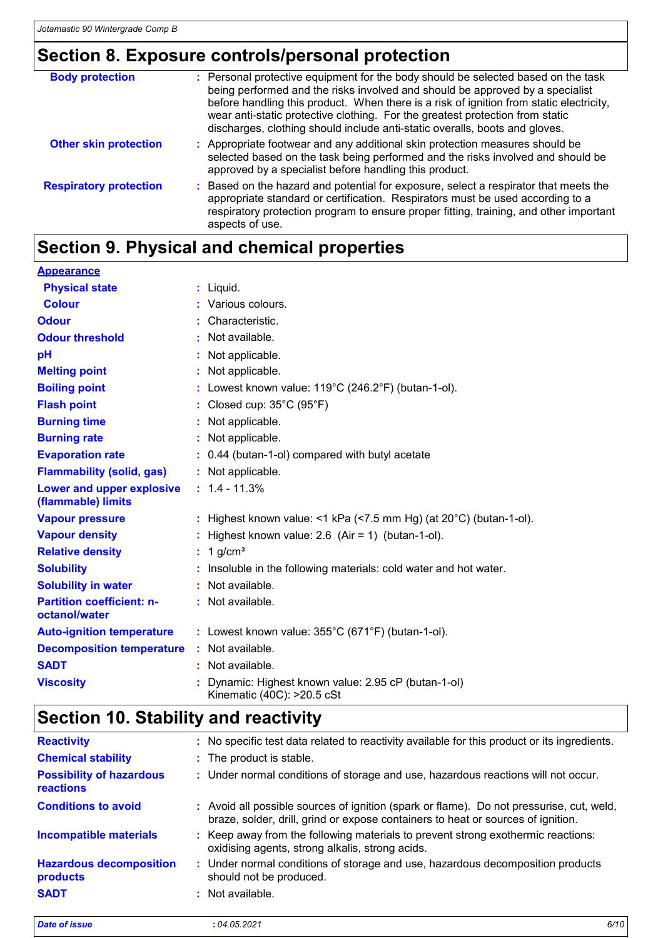### **Section 8. Exposure controls/personal protection**

| <b>Body protection</b>        | : Personal protective equipment for the body should be selected based on the task<br>being performed and the risks involved and should be approved by a specialist<br>before handling this product. When there is a risk of ignition from static electricity,<br>wear anti-static protective clothing. For the greatest protection from static<br>discharges, clothing should include anti-static overalls, boots and gloves. |
|-------------------------------|-------------------------------------------------------------------------------------------------------------------------------------------------------------------------------------------------------------------------------------------------------------------------------------------------------------------------------------------------------------------------------------------------------------------------------|
| <b>Other skin protection</b>  | : Appropriate footwear and any additional skin protection measures should be<br>selected based on the task being performed and the risks involved and should be<br>approved by a specialist before handling this product.                                                                                                                                                                                                     |
| <b>Respiratory protection</b> | : Based on the hazard and potential for exposure, select a respirator that meets the<br>appropriate standard or certification. Respirators must be used according to a<br>respiratory protection program to ensure proper fitting, training, and other important<br>aspects of use.                                                                                                                                           |

# **Section 9. Physical and chemical properties**

| <b>Appearance</b>                                 |                                                                                  |
|---------------------------------------------------|----------------------------------------------------------------------------------|
| <b>Physical state</b>                             | $:$ Liquid.                                                                      |
| <b>Colour</b>                                     | : Various colours.                                                               |
| <b>Odour</b>                                      | Characteristic.                                                                  |
| <b>Odour threshold</b>                            | : Not available.                                                                 |
| pH                                                | Not applicable.                                                                  |
| <b>Melting point</b>                              | : Not applicable.                                                                |
| <b>Boiling point</b>                              | : Lowest known value: $119^{\circ}$ C (246.2°F) (butan-1-ol).                    |
| <b>Flash point</b>                                | : Closed cup: $35^{\circ}$ C (95 $^{\circ}$ F)                                   |
| <b>Burning time</b>                               | : Not applicable.                                                                |
| <b>Burning rate</b>                               | : Not applicable.                                                                |
| <b>Evaporation rate</b>                           | : 0.44 (butan-1-ol) compared with butyl acetate                                  |
| <b>Flammability (solid, gas)</b>                  | : Not applicable.                                                                |
| Lower and upper explosive<br>(flammable) limits   | $: 1.4 - 11.3%$                                                                  |
| <b>Vapour pressure</b>                            | : Highest known value: <1 kPa (<7.5 mm Hg) (at $20^{\circ}$ C) (butan-1-ol).     |
| <b>Vapour density</b>                             | : Highest known value: $2.6$ (Air = 1) (butan-1-ol).                             |
| <b>Relative density</b>                           | : $1$ g/cm <sup>3</sup>                                                          |
| <b>Solubility</b>                                 | Insoluble in the following materials: cold water and hot water.                  |
| <b>Solubility in water</b>                        | : Not available.                                                                 |
| <b>Partition coefficient: n-</b><br>octanol/water | : Not available.                                                                 |
| <b>Auto-ignition temperature</b>                  | : Lowest known value: $355^{\circ}$ C (671°F) (butan-1-ol).                      |
| <b>Decomposition temperature</b>                  | : Not available.                                                                 |
| <b>SADT</b>                                       | : Not available.                                                                 |
| <b>Viscosity</b>                                  | Dynamic: Highest known value: 2.95 cP (butan-1-ol)<br>Kinematic (40C): >20.5 cSt |

### **Section 10. Stability and reactivity**

| <b>Reactivity</b>                            | : No specific test data related to reactivity available for this product or its ingredients.                                                                                 |
|----------------------------------------------|------------------------------------------------------------------------------------------------------------------------------------------------------------------------------|
| <b>Chemical stability</b>                    | : The product is stable.                                                                                                                                                     |
| <b>Possibility of hazardous</b><br>reactions | : Under normal conditions of storage and use, hazardous reactions will not occur.                                                                                            |
| <b>Conditions to avoid</b>                   | : Avoid all possible sources of ignition (spark or flame). Do not pressurise, cut, weld,<br>braze, solder, drill, grind or expose containers to heat or sources of ignition. |
| <b>Incompatible materials</b>                | : Keep away from the following materials to prevent strong exothermic reactions:<br>oxidising agents, strong alkalis, strong acids.                                          |
| <b>Hazardous decomposition</b><br>products   | : Under normal conditions of storage and use, hazardous decomposition products<br>should not be produced.                                                                    |
| <b>SADT</b>                                  | : Not available.                                                                                                                                                             |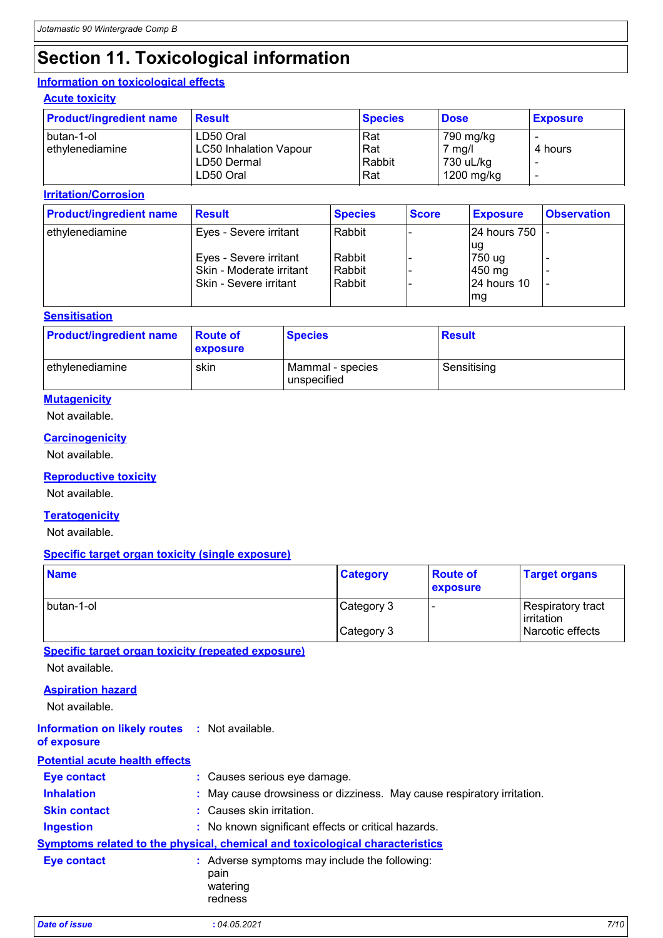# **Section 11. Toxicological information**

#### **Information on toxicological effects**

#### **Acute toxicity**

| <b>Product/ingredient name</b>  | Result                                     | <b>Species</b> | <b>Dose</b>             | <b>Exposure</b> |
|---------------------------------|--------------------------------------------|----------------|-------------------------|-----------------|
| I butan-1-ol<br>ethylenediamine | LD50 Oral<br><b>LC50 Inhalation Vapour</b> | Rat<br>Rat     | 790 mg/kg<br>7 mg/l     | 4 hours         |
|                                 | LD50 Dermal<br>LD50 Oral                   | Rabbit<br>Rat  | 730 uL/kg<br>1200 mg/kg |                 |

#### **Irritation/Corrosion**

| <b>Product/ingredient name</b> | Result                                                                       | <b>Species</b>               | <b>Score</b> | <b>Exposure</b>                          | <b>Observation</b> |
|--------------------------------|------------------------------------------------------------------------------|------------------------------|--------------|------------------------------------------|--------------------|
| ethylenediamine                | Eyes - Severe irritant                                                       | Rabbit                       |              | 24 hours 750                             |                    |
|                                | Eyes - Severe irritant<br>Skin - Moderate irritant<br>Skin - Severe irritant | Rabbit<br>Rabbit<br>l Rabbit |              | lug<br>750 ug<br>$450$ mg<br>24 hours 10 |                    |
|                                |                                                                              |                              |              | mg                                       |                    |

#### **Sensitisation**

| <b>Product/ingredient name</b> | <b>Route of</b><br>exposure | <b>Species</b>                  | <b>Result</b> |
|--------------------------------|-----------------------------|---------------------------------|---------------|
| ethylenediamine                | skin                        | Mammal - species<br>unspecified | Sensitising   |

#### **Mutagenicity**

Not available.

#### **Carcinogenicity**

Not available.

#### **Reproductive toxicity**

Not available.

#### **Teratogenicity**

Not available.

#### **Specific target organ toxicity (single exposure)**

| <b>Name</b>  | <b>Category</b> | <b>Route of</b><br><b>exposure</b> | <b>Target organs</b>              |
|--------------|-----------------|------------------------------------|-----------------------------------|
| I butan-1-ol | Category 3      |                                    | Respiratory tract<br>l irritation |
|              | Category 3      |                                    | Narcotic effects                  |

**Specific target organ toxicity (repeated exposure)**

Not available.

#### **Aspiration hazard**

Not available.

#### **Information on likely routes :** Not available.

**of exposure**

| <b>Potential acute health effects</b> |                                                                              |
|---------------------------------------|------------------------------------------------------------------------------|
| <b>Eye contact</b>                    | : Causes serious eye damage.                                                 |
| <b>Inhalation</b>                     | : May cause drowsiness or dizziness. May cause respiratory irritation.       |
| <b>Skin contact</b>                   | : Causes skin irritation.                                                    |
| <b>Ingestion</b>                      | : No known significant effects or critical hazards.                          |
|                                       | Symptoms related to the physical, chemical and toxicological characteristics |
| <b>Eye contact</b>                    | : Adverse symptoms may include the following:<br>pain<br>watering<br>redness |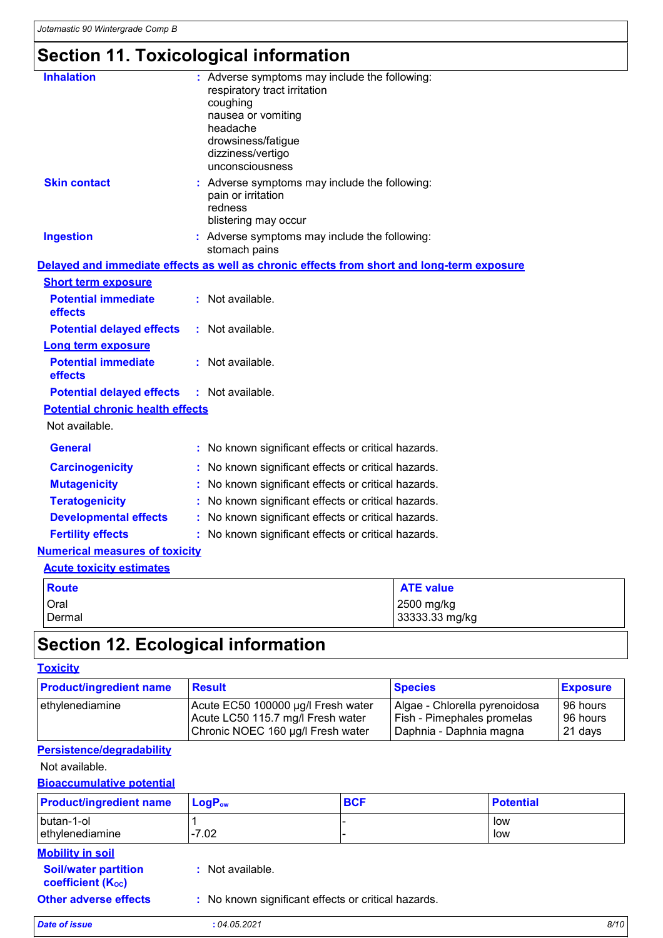# **Section 11. Toxicological information**

| <b>Inhalation</b>                       | : Adverse symptoms may include the following:<br>respiratory tract irritation<br>coughing<br>nausea or vomiting<br>headache<br>drowsiness/fatigue<br>dizziness/vertigo<br>unconsciousness |                  |
|-----------------------------------------|-------------------------------------------------------------------------------------------------------------------------------------------------------------------------------------------|------------------|
| <b>Skin contact</b>                     | : Adverse symptoms may include the following:<br>pain or irritation<br>redness<br>blistering may occur                                                                                    |                  |
| <b>Ingestion</b>                        | : Adverse symptoms may include the following:<br>stomach pains                                                                                                                            |                  |
|                                         | Delayed and immediate effects as well as chronic effects from short and long-term exposure                                                                                                |                  |
| <b>Short term exposure</b>              |                                                                                                                                                                                           |                  |
| <b>Potential immediate</b><br>effects   | : Not available.                                                                                                                                                                          |                  |
| <b>Potential delayed effects</b>        | : Not available.                                                                                                                                                                          |                  |
| <b>Long term exposure</b>               |                                                                                                                                                                                           |                  |
| <b>Potential immediate</b><br>effects   | : Not available.                                                                                                                                                                          |                  |
| <b>Potential delayed effects</b>        | : Not available.                                                                                                                                                                          |                  |
| <b>Potential chronic health effects</b> |                                                                                                                                                                                           |                  |
| Not available.                          |                                                                                                                                                                                           |                  |
| <b>General</b>                          | : No known significant effects or critical hazards.                                                                                                                                       |                  |
| <b>Carcinogenicity</b>                  | No known significant effects or critical hazards.                                                                                                                                         |                  |
| <b>Mutagenicity</b>                     | No known significant effects or critical hazards.                                                                                                                                         |                  |
| <b>Teratogenicity</b>                   | No known significant effects or critical hazards.                                                                                                                                         |                  |
| <b>Developmental effects</b>            | No known significant effects or critical hazards.                                                                                                                                         |                  |
| <b>Fertility effects</b>                | : No known significant effects or critical hazards.                                                                                                                                       |                  |
| <b>Numerical measures of toxicity</b>   |                                                                                                                                                                                           |                  |
| <b>Acute toxicity estimates</b>         |                                                                                                                                                                                           |                  |
| <b>Route</b>                            |                                                                                                                                                                                           | <b>ATE value</b> |

| Route         | <b>ATE value</b> |
|---------------|------------------|
| <b>Oral</b>   | 2500 mg/kg       |
| <b>Dermal</b> | 33333.33 mg/kg   |
|               |                  |

## **Section 12. Ecological information**

#### **Toxicity**

| <b>Product/ingredient name</b> | <b>Result</b>                      | <b>Species</b>                | <b>Exposure</b> |
|--------------------------------|------------------------------------|-------------------------------|-----------------|
| lethylenediamine               | Acute EC50 100000 µg/l Fresh water | Algae - Chlorella pyrenoidosa | 96 hours        |
|                                | Acute LC50 115.7 mg/l Fresh water  | Fish - Pimephales promelas    | 96 hours        |
|                                | Chronic NOEC 160 µg/l Fresh water  | Daphnia - Daphnia magna       | 21 days         |

#### **Persistence/degradability**

#### Not available.

**Bioaccumulative potential**

| <b>Product/ingredient name</b> | $LogPow$ | <b>BCF</b> | <b>Potential</b> |
|--------------------------------|----------|------------|------------------|
| butan-1-ol<br>ethylenediamine  | $-7.02$  |            | low<br>low       |

#### **Mobility in soil**

| : Not available. |
|------------------|
|                  |

**coefficient (KOC)**

**Other adverse effects** : No known significant effects or critical hazards.

*Date of issue* **:** *04.05.2021 8/10*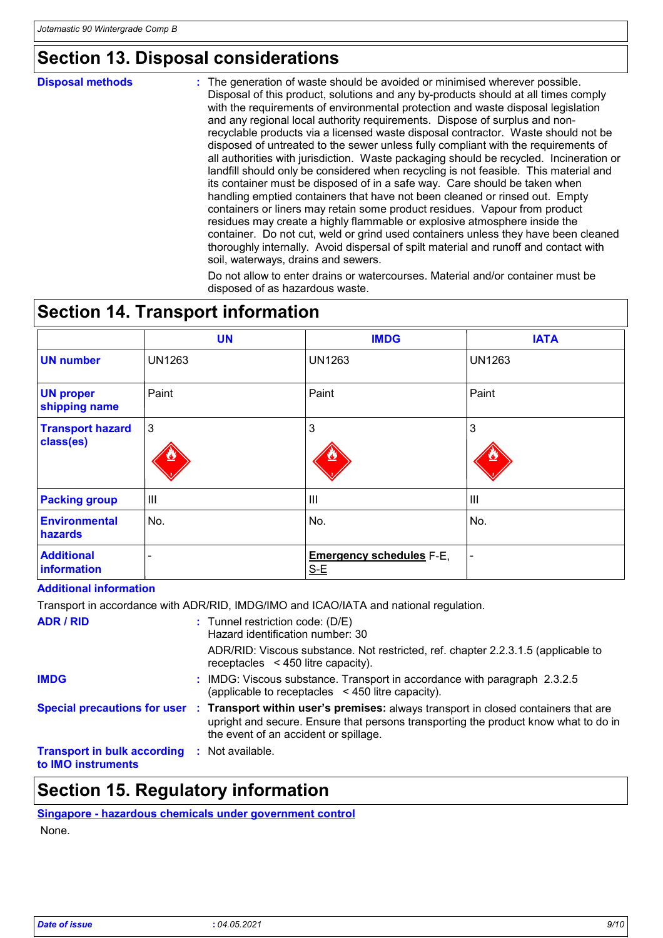# **Section 13. Disposal considerations**

#### **Disposal methods :**

The generation of waste should be avoided or minimised wherever possible. Disposal of this product, solutions and any by-products should at all times comply with the requirements of environmental protection and waste disposal legislation and any regional local authority requirements. Dispose of surplus and nonrecyclable products via a licensed waste disposal contractor. Waste should not be disposed of untreated to the sewer unless fully compliant with the requirements of all authorities with jurisdiction. Waste packaging should be recycled. Incineration or landfill should only be considered when recycling is not feasible. This material and its container must be disposed of in a safe way. Care should be taken when handling emptied containers that have not been cleaned or rinsed out. Empty containers or liners may retain some product residues. Vapour from product residues may create a highly flammable or explosive atmosphere inside the container. Do not cut, weld or grind used containers unless they have been cleaned thoroughly internally. Avoid dispersal of spilt material and runoff and contact with soil, waterways, drains and sewers.

Do not allow to enter drains or watercourses. Material and/or container must be disposed of as hazardous waste.

## **Section 14. Transport information**

|                                      | <b>UN</b>     | <b>IMDG</b>                              | <b>IATA</b>   |
|--------------------------------------|---------------|------------------------------------------|---------------|
| <b>UN number</b>                     | <b>UN1263</b> | <b>UN1263</b>                            | <b>UN1263</b> |
| <b>UN proper</b><br>shipping name    | Paint         | Paint                                    | Paint         |
| <b>Transport hazard</b><br>class(es) | 3             | $\mathbf{3}$                             | 3             |
| <b>Packing group</b>                 | Ш             | $\mathbf{III}$                           | III           |
| <b>Environmental</b><br>hazards      | No.           | No.                                      | No.           |
| <b>Additional</b><br>information     | -             | <b>Emergency schedules F-E,</b><br>$S-E$ | ۰             |

#### **Additional information**

Transport in accordance with ADR/RID, IMDG/IMO and ICAO/IATA and national regulation.

| <b>ADR / RID</b>                                                          | $:$ Tunnel restriction code: (D/E)<br>Hazard identification number: 30                                                                                                                                                                          |
|---------------------------------------------------------------------------|-------------------------------------------------------------------------------------------------------------------------------------------------------------------------------------------------------------------------------------------------|
|                                                                           | ADR/RID: Viscous substance. Not restricted, ref. chapter 2.2.3.1.5 (applicable to<br>receptacles $\leq$ 450 litre capacity).                                                                                                                    |
| <b>IMDG</b>                                                               | : IMDG: Viscous substance. Transport in accordance with paragraph 2.3.2.5<br>(applicable to receptacles $\leq$ 450 litre capacity).                                                                                                             |
|                                                                           | Special precautions for user : Transport within user's premises: always transport in closed containers that are<br>upright and secure. Ensure that persons transporting the product know what to do in<br>the event of an accident or spillage. |
| <b>Transport in bulk according : Not available.</b><br>to IMO instruments |                                                                                                                                                                                                                                                 |

### **Section 15. Regulatory information**

**Singapore - hazardous chemicals under government control** None.